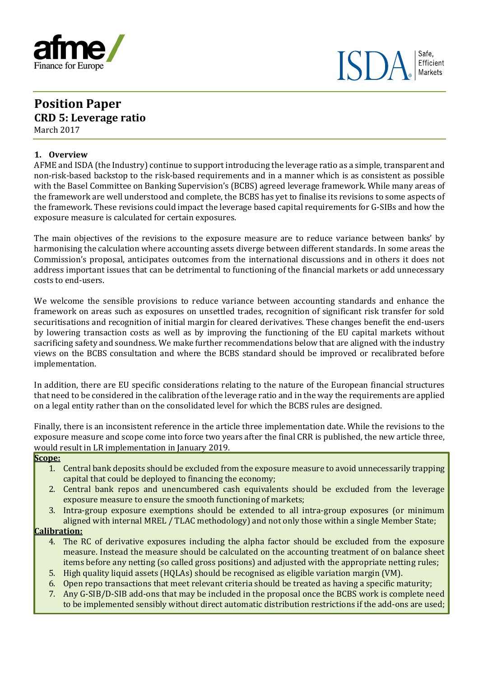

# **Position Paper CRD 5: Leverage ratio** March 2017

## **1. Overview**

AFME and ISDA (the Industry) continue to support introducing the leverage ratio as a simple, transparent and non-risk-based backstop to the risk-based requirements and in a manner which is as consistent as possible with the Basel Committee on Banking Supervision's (BCBS) agreed leverage framework. While many areas of the framework are well understood and complete, the BCBS has yet to finalise its revisions to some aspects of the framework. These revisions could impact the leverage based capital requirements for G-SIBs and how the exposure measure is calculated for certain exposures.

The main objectives of the revisions to the exposure measure are to reduce variance between banks' by harmonising the calculation where accounting assets diverge between different standards. In some areas the Commission's proposal, anticipates outcomes from the international discussions and in others it does not address important issues that can be detrimental to functioning of the financial markets or add unnecessary costs to end-users.

We welcome the sensible provisions to reduce variance between accounting standards and enhance the framework on areas such as exposures on unsettled trades, recognition of significant risk transfer for sold securitisations and recognition of initial margin for cleared derivatives. These changes benefit the end-users by lowering transaction costs as well as by improving the functioning of the EU capital markets without sacrificing safety and soundness. We make further recommendations below that are aligned with the industry views on the BCBS consultation and where the BCBS standard should be improved or recalibrated before implementation.

In addition, there are EU specific considerations relating to the nature of the European financial structures that need to be considered in the calibration of the leverage ratio and in the way the requirements are applied on a legal entity rather than on the consolidated level for which the BCBS rules are designed.

Finally, there is an inconsistent reference in the article three implementation date. While the revisions to the exposure measure and scope come into force two years after the final CRR is published, the new article three, would result in LR implementation in January 2019.

#### **Scope:**

- 1. Central bank deposits should be excluded from the exposure measure to avoid unnecessarily trapping capital that could be deployed to financing the economy;
- 2. Central bank repos and unencumbered cash equivalents should be excluded from the leverage exposure measure to ensure the smooth functioning of markets;
- 3. Intra-group exposure exemptions should be extended to all intra-group exposures (or minimum aligned with internal MREL / TLAC methodology) and not only those within a single Member State;

## **Calibration:**

- 4. The RC of derivative exposures including the alpha factor should be excluded from the exposure measure. Instead the measure should be calculated on the accounting treatment of on balance sheet items before any netting (so called gross positions) and adjusted with the appropriate netting rules;
- 5. High quality liquid assets (HQLAs) should be recognised as eligible variation margin (VM).
- 6. Open repo transactions that meet relevant criteria should be treated as having a specific maturity;
- 7. Any G-SIB/D-SIB add-ons that may be included in the proposal once the BCBS work is complete need to be implemented sensibly without direct automatic distribution restrictions if the add-ons are used;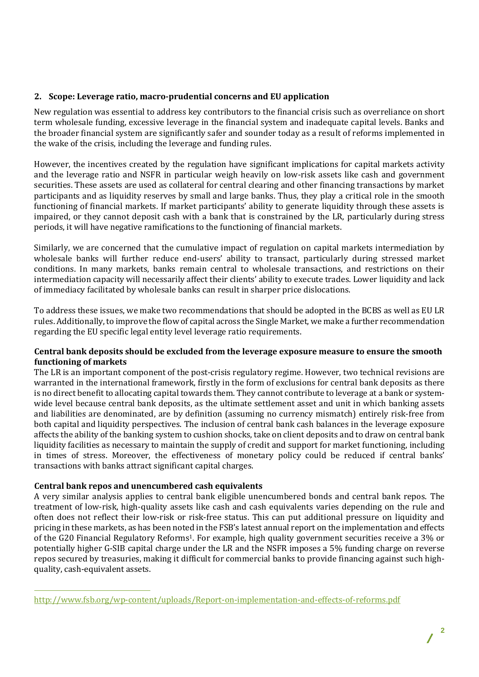## **2. Scope: Leverage ratio, macro-prudential concerns and EU application**

New regulation was essential to address key contributors to the financial crisis such as overreliance on short term wholesale funding, excessive leverage in the financial system and inadequate capital levels. Banks and the broader financial system are significantly safer and sounder today as a result of reforms implemented in the wake of the crisis, including the leverage and funding rules.

However, the incentives created by the regulation have significant implications for capital markets activity and the leverage ratio and NSFR in particular weigh heavily on low-risk assets like cash and government securities. These assets are used as collateral for central clearing and other financing transactions by market participants and as liquidity reserves by small and large banks. Thus, they play a critical role in the smooth functioning of financial markets. If market participants' ability to generate liquidity through these assets is impaired, or they cannot deposit cash with a bank that is constrained by the LR, particularly during stress periods, it will have negative ramifications to the functioning of financial markets.

Similarly, we are concerned that the cumulative impact of regulation on capital markets intermediation by wholesale banks will further reduce end-users' ability to transact, particularly during stressed market conditions. In many markets, banks remain central to wholesale transactions, and restrictions on their intermediation capacity will necessarily affect their clients' ability to execute trades. Lower liquidity and lack of immediacy facilitated by wholesale banks can result in sharper price dislocations.

To address these issues, we make two recommendations that should be adopted in the BCBS as well as EU LR rules. Additionally, to improve the flow of capital across the Single Market, we make a further recommendation regarding the EU specific legal entity level leverage ratio requirements.

## **Central bank deposits should be excluded from the leverage exposure measure to ensure the smooth functioning of markets**

The LR is an important component of the post-crisis regulatory regime. However, two technical revisions are warranted in the international framework, firstly in the form of exclusions for central bank deposits as there is no direct benefit to allocating capital towards them. They cannot contribute to leverage at a bank or systemwide level because central bank deposits, as the ultimate settlement asset and unit in which banking assets and liabilities are denominated, are by definition (assuming no currency mismatch) entirely risk-free from both capital and liquidity perspectives. The inclusion of central bank cash balances in the leverage exposure affects the ability of the banking system to cushion shocks, take on client deposits and to draw on central bank liquidity facilities as necessary to maintain the supply of credit and support for market functioning, including in times of stress. Moreover, the effectiveness of monetary policy could be reduced if central banks' transactions with banks attract significant capital charges.

## **Central bank repos and unencumbered cash equivalents**

 $\overline{a}$ 

A very similar analysis applies to central bank eligible unencumbered bonds and central bank repos. The treatment of low-risk, high-quality assets like cash and cash equivalents varies depending on the rule and often does not reflect their low-risk or risk-free status. This can put additional pressure on liquidity and pricing in these markets, as has been noted in the FSB's latest annual report on the implementation and effects of the G20 Financial Regulatory Reforms1. For example, high quality government securities receive a 3% or potentially higher G-SIB capital charge under the LR and the NSFR imposes a 5% funding charge on reverse repos secured by treasuries, making it difficult for commercial banks to provide financing against such highquality, cash-equivalent assets.

<http://www.fsb.org/wp-content/uploads/Report-on-implementation-and-effects-of-reforms.pdf>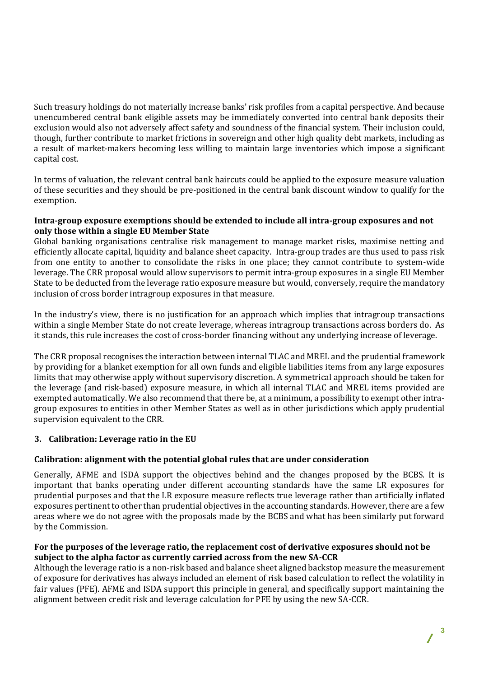Such treasury holdings do not materially increase banks' risk profiles from a capital perspective. And because unencumbered central bank eligible assets may be immediately converted into central bank deposits their exclusion would also not adversely affect safety and soundness of the financial system. Their inclusion could, though, further contribute to market frictions in sovereign and other high quality debt markets, including as a result of market-makers becoming less willing to maintain large inventories which impose a significant capital cost.

In terms of valuation, the relevant central bank haircuts could be applied to the exposure measure valuation of these securities and they should be pre-positioned in the central bank discount window to qualify for the exemption.

## **Intra-group exposure exemptions should be extended to include all intra-group exposures and not only those within a single EU Member State**

Global banking organisations centralise risk management to manage market risks, maximise netting and efficiently allocate capital, liquidity and balance sheet capacity. Intra-group trades are thus used to pass risk from one entity to another to consolidate the risks in one place; they cannot contribute to system-wide leverage. The CRR proposal would allow supervisors to permit intra-group exposures in a single EU Member State to be deducted from the leverage ratio exposure measure but would, conversely, require the mandatory inclusion of cross border intragroup exposures in that measure.

In the industry's view, there is no justification for an approach which implies that intragroup transactions within a single Member State do not create leverage, whereas intragroup transactions across borders do. As it stands, this rule increases the cost of cross-border financing without any underlying increase of leverage.

The CRR proposal recognises the interaction between internal TLAC and MREL and the prudential framework by providing for a blanket exemption for all own funds and eligible liabilities items from any large exposures limits that may otherwise apply without supervisory discretion. A symmetrical approach should be taken for the leverage (and risk-based) exposure measure, in which all internal TLAC and MREL items provided are exempted automatically. We also recommend that there be, at a minimum, a possibility to exempt other intragroup exposures to entities in other Member States as well as in other jurisdictions which apply prudential supervision equivalent to the CRR.

# **3. Calibration: Leverage ratio in the EU**

# **Calibration: alignment with the potential global rules that are under consideration**

Generally, AFME and ISDA support the objectives behind and the changes proposed by the BCBS. It is important that banks operating under different accounting standards have the same LR exposures for prudential purposes and that the LR exposure measure reflects true leverage rather than artificially inflated exposures pertinent to other than prudential objectives in the accounting standards. However, there are a few areas where we do not agree with the proposals made by the BCBS and what has been similarly put forward by the Commission.

## **For the purposes of the leverage ratio, the replacement cost of derivative exposures should not be subject to the alpha factor as currently carried across from the new SA-CCR**

Although the leverage ratio is a non-risk based and balance sheet aligned backstop measure the measurement of exposure for derivatives has always included an element of risk based calculation to reflect the volatility in fair values (PFE). AFME and ISDA support this principle in general, and specifically support maintaining the alignment between credit risk and leverage calculation for PFE by using the new SA-CCR.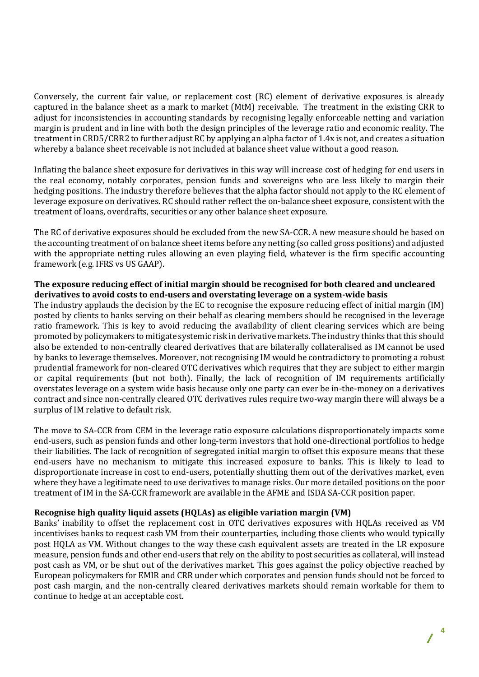Conversely, the current fair value, or replacement cost (RC) element of derivative exposures is already captured in the balance sheet as a mark to market (MtM) receivable. The treatment in the existing CRR to adjust for inconsistencies in accounting standards by recognising legally enforceable netting and variation margin is prudent and in line with both the design principles of the leverage ratio and economic reality. The treatment in CRD5/CRR2 to further adjust RC by applying an alpha factor of 1.4x is not, and creates a situation whereby a balance sheet receivable is not included at balance sheet value without a good reason.

Inflating the balance sheet exposure for derivatives in this way will increase cost of hedging for end users in the real economy, notably corporates, pension funds and sovereigns who are less likely to margin their hedging positions. The industry therefore believes that the alpha factor should not apply to the RC element of leverage exposure on derivatives. RC should rather reflect the on-balance sheet exposure, consistent with the treatment of loans, overdrafts, securities or any other balance sheet exposure.

The RC of derivative exposures should be excluded from the new SA-CCR. A new measure should be based on the accounting treatment of on balance sheet items before any netting (so called gross positions) and adjusted with the appropriate netting rules allowing an even playing field, whatever is the firm specific accounting framework (e.g. IFRS vs US GAAP).

## **The exposure reducing effect of initial margin should be recognised for both cleared and uncleared derivatives to avoid costs to end-users and overstating leverage on a system-wide basis**

The industry applauds the decision by the EC to recognise the exposure reducing effect of initial margin (IM) posted by clients to banks serving on their behalf as clearing members should be recognised in the leverage ratio framework. This is key to avoid reducing the availability of client clearing services which are being promoted by policymakers to mitigate systemic risk in derivative markets. The industry thinks that this should also be extended to non-centrally cleared derivatives that are bilaterally collateralised as IM cannot be used by banks to leverage themselves. Moreover, not recognising IM would be contradictory to promoting a robust prudential framework for non-cleared OTC derivatives which requires that they are subject to either margin or capital requirements (but not both). Finally, the lack of recognition of IM requirements artificially overstates leverage on a system wide basis because only one party can ever be in-the-money on a derivatives contract and since non-centrally cleared OTC derivatives rules require two-way margin there will always be a surplus of IM relative to default risk.

The move to SA-CCR from CEM in the leverage ratio exposure calculations disproportionately impacts some end-users, such as pension funds and other long-term investors that hold one-directional portfolios to hedge their liabilities. The lack of recognition of segregated initial margin to offset this exposure means that these end-users have no mechanism to mitigate this increased exposure to banks. This is likely to lead to disproportionate increase in cost to end-users, potentially shutting them out of the derivatives market, even where they have a legitimate need to use derivatives to manage risks. Our more detailed positions on the poor treatment of IM in the SA-CCR framework are available in the AFME and ISDA SA-CCR position paper.

# **Recognise high quality liquid assets (HQLAs) as eligible variation margin (VM)**

Banks' inability to offset the replacement cost in OTC derivatives exposures with HQLAs received as VM incentivises banks to request cash VM from their counterparties, including those clients who would typically post HQLA as VM. Without changes to the way these cash equivalent assets are treated in the LR exposure measure, pension funds and other end-users that rely on the ability to post securities as collateral, will instead post cash as VM, or be shut out of the derivatives market. This goes against the policy objective reached by European policymakers for EMIR and CRR under which corporates and pension funds should not be forced to post cash margin, and the non-centrally cleared derivatives markets should remain workable for them to continue to hedge at an acceptable cost.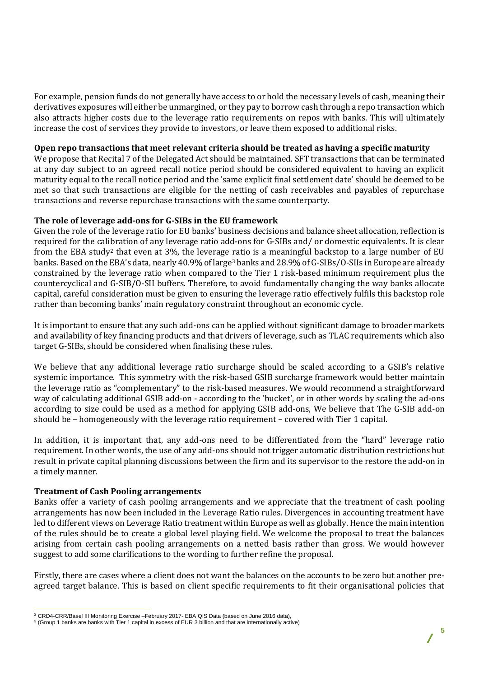For example, pension funds do not generally have access to or hold the necessary levels of cash, meaning their derivatives exposures will either be unmargined, or they pay to borrow cash through a repo transaction which also attracts higher costs due to the leverage ratio requirements on repos with banks. This will ultimately increase the cost of services they provide to investors, or leave them exposed to additional risks.

### **Open repo transactions that meet relevant criteria should be treated as having a specific maturity**

We propose that Recital 7 of the Delegated Act should be maintained. SFT transactions that can be terminated at any day subject to an agreed recall notice period should be considered equivalent to having an explicit maturity equal to the recall notice period and the 'same explicit final settlement date' should be deemed to be met so that such transactions are eligible for the netting of cash receivables and payables of repurchase transactions and reverse repurchase transactions with the same counterparty.

#### **The role of leverage add-ons for G-SIBs in the EU framework**

Given the role of the leverage ratio for EU banks' business decisions and balance sheet allocation, reflection is required for the calibration of any leverage ratio add-ons for G-SIBs and/ or domestic equivalents. It is clear from the EBA study<sup>2</sup> that even at  $3\%$ , the leverage ratio is a meaningful backstop to a large number of EU banks. Based on the EBA's data, nearly 40.9% of large<sup>3</sup> banks and 28.9% of G-SIBs/O-SIIs in Europe are already constrained by the leverage ratio when compared to the Tier 1 risk-based minimum requirement plus the countercyclical and G-SIB/O-SII buffers. Therefore, to avoid fundamentally changing the way banks allocate capital, careful consideration must be given to ensuring the leverage ratio effectively fulfils this backstop role rather than becoming banks' main regulatory constraint throughout an economic cycle.

It is important to ensure that any such add-ons can be applied without significant damage to broader markets and availability of key financing products and that drivers of leverage, such as TLAC requirements which also target G-SIBs, should be considered when finalising these rules.

We believe that any additional leverage ratio surcharge should be scaled according to a GSIB's relative systemic importance. This symmetry with the risk-based GSIB surcharge framework would better maintain the leverage ratio as "complementary" to the risk-based measures. We would recommend a straightforward way of calculating additional GSIB add-on - according to the 'bucket', or in other words by scaling the ad-ons according to size could be used as a method for applying GSIB add-ons, We believe that The G-SIB add-on should be – homogeneously with the leverage ratio requirement – covered with Tier 1 capital.

In addition, it is important that, any add-ons need to be differentiated from the "hard" leverage ratio requirement. In other words, the use of any add-ons should not trigger automatic distribution restrictions but result in private capital planning discussions between the firm and its supervisor to the restore the add-on in a timely manner.

#### **Treatment of Cash Pooling arrangements**

Banks offer a variety of cash pooling arrangements and we appreciate that the treatment of cash pooling arrangements has now been included in the Leverage Ratio rules. Divergences in accounting treatment have led to different views on Leverage Ratio treatment within Europe as well as globally. Hence the main intention of the rules should be to create a global level playing field. We welcome the proposal to treat the balances arising from certain cash pooling arrangements on a netted basis rather than gross. We would however suggest to add some clarifications to the wording to further refine the proposal.

Firstly, there are cases where a client does not want the balances on the accounts to be zero but another preagreed target balance. This is based on client specific requirements to fit their organisational policies that

 $\overline{a}$ <sup>2</sup> CRD4-CRR/Basel III Monitoring Exercise –February 2017- EBA QIS Data (based on June 2016 data),

<sup>3</sup> (Group 1 banks are banks with Tier 1 capital in excess of EUR 3 billion and that are internationally active)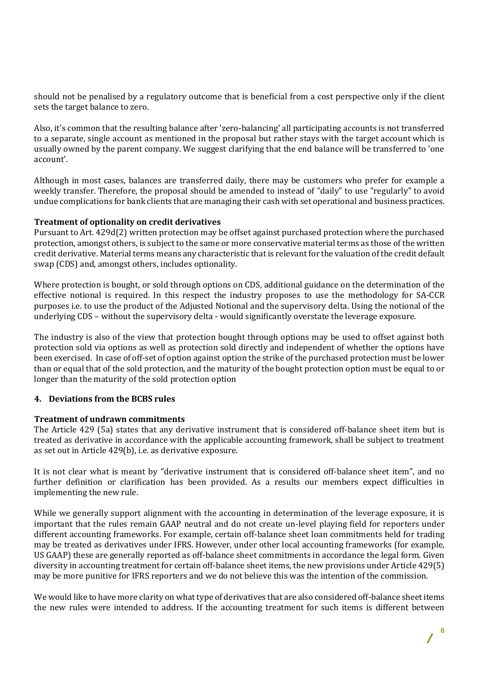should not be penalised by a regulatory outcome that is beneficial from a cost perspective only if the client sets the target balance to zero.

Also, it's common that the resulting balance after 'zero-balancing' all participating accounts is not transferred to a separate, single account as mentioned in the proposal but rather stays with the target account which is usually owned by the parent company. We suggest clarifying that the end balance will be transferred to 'one account'.

Although in most cases, balances are transferred daily, there may be customers who prefer for example a weekly transfer. Therefore, the proposal should be amended to instead of "daily" to use "regularly" to avoid undue complications for bank clients that are managing their cash with set operational and business practices.

## **Treatment of optionality on credit derivatives**

Pursuant to Art. 429d(2) written protection may be offset against purchased protection where the purchased protection, amongst others, is subject to the same or more conservative material terms as those of the written credit derivative. Material terms means any characteristic that is relevant for the valuation of the credit default swap (CDS) and, amongst others, includes optionality.

Where protection is bought, or sold through options on CDS, additional guidance on the determination of the effective notional is required. In this respect the industry proposes to use the methodology for SA-CCR purposes i.e. to use the product of the Adjusted Notional and the supervisory delta. Using the notional of the underlying CDS – without the supervisory delta - would significantly overstate the leverage exposure.

The industry is also of the view that protection bought through options may be used to offset against both protection sold via options as well as protection sold directly and independent of whether the options have been exercised. In case of off-set of option against option the strike of the purchased protection must be lower than or equal that of the sold protection, and the maturity of the bought protection option must be equal to or longer than the maturity of the sold protection option

#### **4. Deviations from the BCBS rules**

#### **Treatment of undrawn commitments**

The Article 429 (5a) states that any derivative instrument that is considered off-balance sheet item but is treated as derivative in accordance with the applicable accounting framework, shall be subject to treatment as set out in Article 429(b), i.e. as derivative exposure.

It is not clear what is meant by "derivative instrument that is considered off-balance sheet item", and no further definition or clarification has been provided. As a results our members expect difficulties in implementing the new rule.

While we generally support alignment with the accounting in determination of the leverage exposure, it is important that the rules remain GAAP neutral and do not create un-level playing field for reporters under different accounting frameworks. For example, certain off-balance sheet loan commitments held for trading may be treated as derivatives under IFRS. However, under other local accounting frameworks (for example, US GAAP) these are generally reported as off-balance sheet commitments in accordance the legal form. Given diversity in accounting treatment for certain off-balance sheet items, the new provisions under Article 429(5) may be more punitive for IFRS reporters and we do not believe this was the intention of the commission.

We would like to have more clarity on what type of derivatives that are also considered off-balance sheet items the new rules were intended to address. If the accounting treatment for such items is different between